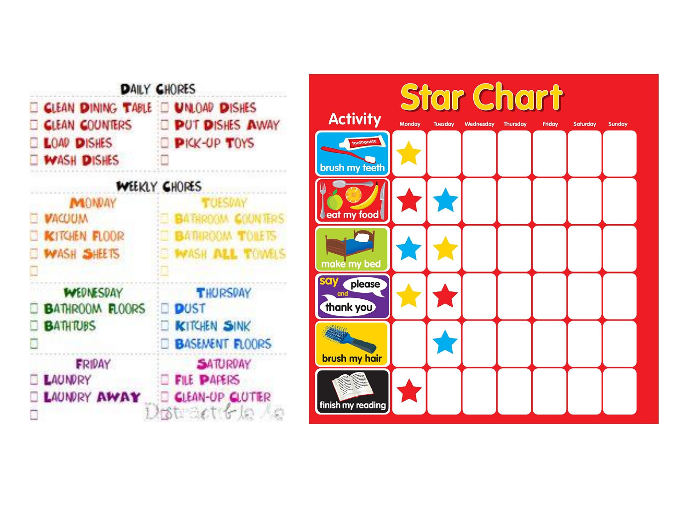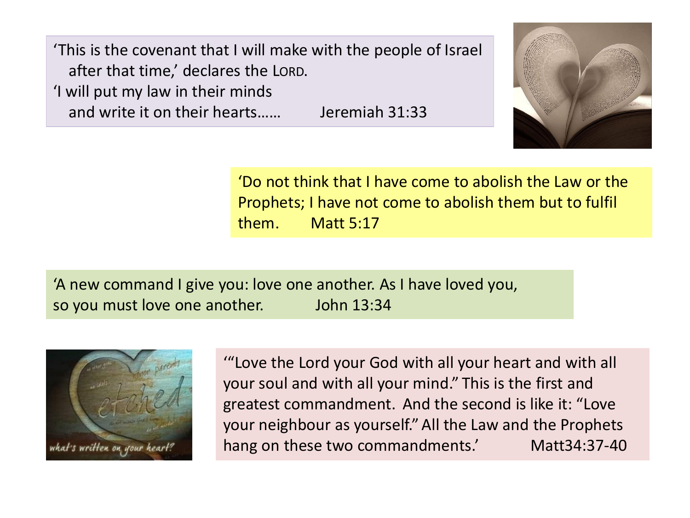'This is the covenant that I will make with the people of Israel after that time,' declares the LORD. 'I will put my law in their minds

and write it on their hearts…… Jeremiah 31:33



'Do not think that I have come to abolish the Law or the Prophets; I have not come to abolish them but to fulfil them. Matt 5:17

'A new command I give you: love one another. As I have loved you, so you must love one another. John 13:34



'"Love the Lord your God with all your heart and with all your soul and with all your mind." This is the first and greatest commandment. And the second is like it: "Love your neighbour as yourself." All the Law and the Prophets hang on these two commandments.' Matt34:37-40